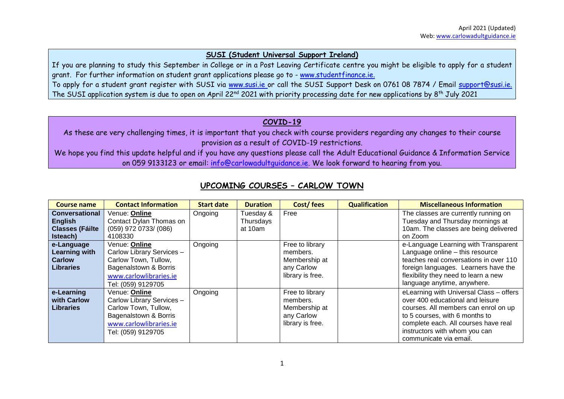#### **SUSI (Student Universal Support Ireland)**

If you are planning to study this September in College or in a Post Leaving Certificate centre you might be eligible to apply for a student grant. For further information on student grant applications please go to - [www.studentfinance.ie.](http://www.studentfinance.ie/) To apply for a student grant register with SUSI via [www.susi.ie](http://www.susi.ie/) or call the SUSI Support Desk on 0761 08 7874 / Email [support@susi.ie.](mailto:support@susi.ie) The SUSI application system is due to open on April 22nd 2021 with priority processing date for new applications by 8th July 2021

### **COVID-19**

As these are very challenging times, it is important that you check with course providers regarding any changes to their course provision as a result of COVID-19 restrictions.

We hope you find this update helpful and if you have any questions please call the Adult Educational Guidance & Information Service on 059 9133123 or email: [info@carlowadultguidance.ie.](mailto:info@carlowadultguidance.ie) We look forward to hearing from you.

| <b>Course name</b>     | <b>Contact Information</b> | <b>Start date</b> | <b>Duration</b> | Cost/fees        | <b>Qualification</b> | <b>Miscellaneous Information</b>        |
|------------------------|----------------------------|-------------------|-----------------|------------------|----------------------|-----------------------------------------|
| Conversational         | Venue: Online              | Ongoing           | Tuesday &       | Free             |                      | The classes are currently running on    |
| <b>English</b>         | Contact Dylan Thomas on    |                   | Thursdays       |                  |                      | Tuesday and Thursday mornings at        |
| <b>Classes (Fáilte</b> | $(059)$ 972 0733/ $(086)$  |                   | at 10am         |                  |                      | 10am. The classes are being delivered   |
| Isteach)               | 4108330                    |                   |                 |                  |                      | on Zoom                                 |
| e-Language             | Venue: Online              | Ongoing           |                 | Free to library  |                      | e-Language Learning with Transparent    |
| Learning with          | Carlow Library Services -  |                   |                 | members.         |                      | Language online - this resource         |
| <b>Carlow</b>          | Carlow Town, Tullow,       |                   |                 | Membership at    |                      | teaches real conversations in over 110  |
| <b>Libraries</b>       | Bagenalstown & Borris      |                   |                 | any Carlow       |                      | foreign languages. Learners have the    |
|                        | www.carlowlibraries.ie     |                   |                 | library is free. |                      | flexibility they need to learn a new    |
|                        | Tel: (059) 9129705         |                   |                 |                  |                      | language anytime, anywhere.             |
| e-Learning             | Venue: Online              | Ongoing           |                 | Free to library  |                      | eLearning with Universal Class - offers |
| with Carlow            | Carlow Library Services -  |                   |                 | members.         |                      | over 400 educational and leisure        |
| <b>Libraries</b>       | Carlow Town, Tullow,       |                   |                 | Membership at    |                      | courses. All members can enrol on up    |
|                        | Bagenalstown & Borris      |                   |                 | any Carlow       |                      | to 5 courses, with 6 months to          |
|                        | www.carlowlibraries.ie     |                   |                 | library is free. |                      | complete each. All courses have real    |
|                        | Tel: (059) 9129705         |                   |                 |                  |                      | instructors with whom you can           |
|                        |                            |                   |                 |                  |                      | communicate via email.                  |

### **UPCOMING COURSES – CARLOW TOWN**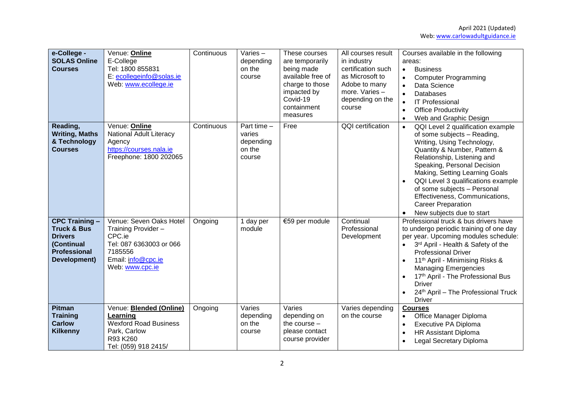| e-College -<br><b>SOLAS Online</b><br><b>Courses</b>                                                                   | Venue: Online<br>E-College<br>Tel: 1800 855831<br>E: ecollegeinfo@solas.ie<br>Web: www.ecollege.ie                                      | Continuous | Varies-<br>depending<br>on the<br>course                 | These courses<br>are temporarily<br>being made<br>available free of<br>charge to those<br>impacted by<br>Covid-19<br>containment<br>measures | All courses result<br>in industry<br>certification such<br>as Microsoft to<br>Adobe to many<br>more. Varies -<br>depending on the<br>course | Courses available in the following<br>areas:<br><b>Business</b><br>$\bullet$<br><b>Computer Programming</b><br>$\bullet$<br>Data Science<br>$\bullet$<br><b>Databases</b><br>$\bullet$<br><b>IT Professional</b><br>$\bullet$<br><b>Office Productivity</b><br>$\bullet$<br>Web and Graphic Design<br>$\bullet$                                                                                              |
|------------------------------------------------------------------------------------------------------------------------|-----------------------------------------------------------------------------------------------------------------------------------------|------------|----------------------------------------------------------|----------------------------------------------------------------------------------------------------------------------------------------------|---------------------------------------------------------------------------------------------------------------------------------------------|--------------------------------------------------------------------------------------------------------------------------------------------------------------------------------------------------------------------------------------------------------------------------------------------------------------------------------------------------------------------------------------------------------------|
| Reading,<br><b>Writing, Maths</b><br>& Technology<br><b>Courses</b>                                                    | Venue: Online<br><b>National Adult Literacy</b><br>Agency<br>https://courses.nala.ie<br>Freephone: 1800 202065                          | Continuous | Part time $-$<br>varies<br>depending<br>on the<br>course | Free                                                                                                                                         | QQI certification                                                                                                                           | QQI Level 2 qualification example<br>$\bullet$<br>of some subjects - Reading,<br>Writing, Using Technology,<br>Quantity & Number, Pattern &<br>Relationship, Listening and<br>Speaking, Personal Decision<br>Making, Setting Learning Goals<br>QQI Level 3 qualifications example<br>of some subjects - Personal<br>Effectiveness, Communications,<br><b>Career Preparation</b><br>New subjects due to start |
| <b>CPC Training -</b><br><b>Truck &amp; Bus</b><br><b>Drivers</b><br>(Continual<br><b>Professional</b><br>Development) | Venue: Seven Oaks Hotel<br>Training Provider -<br>CPC.ie<br>Tel: 087 6363003 or 066<br>7185556<br>Email: info@cpc.ie<br>Web: www.cpc.ie | Ongoing    | 1 day per<br>module                                      | €59 per module                                                                                                                               | Continual<br>Professional<br>Development                                                                                                    | Professional truck & bus drivers have<br>to undergo periodic training of one day<br>per year. Upcoming modules schedule:<br>3rd April - Health & Safety of the<br><b>Professional Driver</b><br>11 <sup>th</sup> April - Minimising Risks &<br><b>Managing Emergencies</b><br>17th April - The Professional Bus<br><b>Driver</b><br>24th April - The Professional Truck<br><b>Driver</b>                     |
| <b>Pitman</b><br><b>Training</b><br><b>Carlow</b><br><b>Kilkenny</b>                                                   | Venue: <b>Blended (Online)</b><br>Learning<br><b>Wexford Road Business</b><br>Park, Carlow<br>R93 K260<br>Tel: (059) 918 2415/          | Ongoing    | Varies<br>depending<br>on the<br>course                  | Varies<br>depending on<br>the course $-$<br>please contact<br>course provider                                                                | Varies depending<br>on the course                                                                                                           | <b>Courses</b><br>Office Manager Diploma<br>$\bullet$<br>Executive PA Diploma<br>$\bullet$<br><b>HR Assistant Diploma</b><br>$\bullet$<br>Legal Secretary Diploma                                                                                                                                                                                                                                            |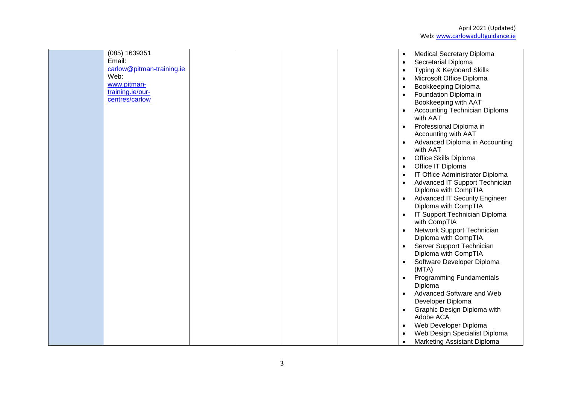| Web: | (085) 1639351<br>Email:<br>carlow@pitman-training.ie<br>www.pitman-<br>training.ie/our-<br>centres/carlow | $\bullet$<br>$\bullet$<br>$\bullet$<br>$\bullet$<br>$\bullet$<br>$\bullet$<br>$\bullet$<br>$\bullet$<br>$\bullet$<br>$\bullet$<br>$\bullet$<br>$\bullet$<br>$\bullet$<br>$\bullet$<br>$\bullet$<br>$\bullet$<br>$\bullet$ | <b>Medical Secretary Diploma</b><br>Secretarial Diploma<br>Typing & Keyboard Skills<br>Microsoft Office Diploma<br>Bookkeeping Diploma<br>Foundation Diploma in<br>Bookkeeping with AAT<br>Accounting Technician Diploma<br>with AAT<br>Professional Diploma in<br>Accounting with AAT<br>Advanced Diploma in Accounting<br>with AAT<br>Office Skills Diploma<br>Office IT Diploma<br>IT Office Administrator Diploma<br>Advanced IT Support Technician<br>Diploma with CompTIA<br><b>Advanced IT Security Engineer</b><br>Diploma with CompTIA<br>IT Support Technician Diploma<br>with CompTIA<br>Network Support Technician<br>Diploma with CompTIA<br>Server Support Technician<br>Diploma with CompTIA<br>Software Developer Diploma<br>(MTA) |
|------|-----------------------------------------------------------------------------------------------------------|---------------------------------------------------------------------------------------------------------------------------------------------------------------------------------------------------------------------------|----------------------------------------------------------------------------------------------------------------------------------------------------------------------------------------------------------------------------------------------------------------------------------------------------------------------------------------------------------------------------------------------------------------------------------------------------------------------------------------------------------------------------------------------------------------------------------------------------------------------------------------------------------------------------------------------------------------------------------------------------|
|      |                                                                                                           |                                                                                                                                                                                                                           |                                                                                                                                                                                                                                                                                                                                                                                                                                                                                                                                                                                                                                                                                                                                                    |
|      |                                                                                                           | $\bullet$                                                                                                                                                                                                                 | <b>Programming Fundamentals</b>                                                                                                                                                                                                                                                                                                                                                                                                                                                                                                                                                                                                                                                                                                                    |
|      |                                                                                                           | $\bullet$                                                                                                                                                                                                                 | Diploma<br>Advanced Software and Web<br>Developer Diploma                                                                                                                                                                                                                                                                                                                                                                                                                                                                                                                                                                                                                                                                                          |
|      |                                                                                                           | $\bullet$<br>$\bullet$                                                                                                                                                                                                    | Graphic Design Diploma with<br>Adobe ACA<br>Web Developer Diploma                                                                                                                                                                                                                                                                                                                                                                                                                                                                                                                                                                                                                                                                                  |
|      |                                                                                                           | $\bullet$<br>$\bullet$                                                                                                                                                                                                    | Web Design Specialist Diploma<br>Marketing Assistant Diploma                                                                                                                                                                                                                                                                                                                                                                                                                                                                                                                                                                                                                                                                                       |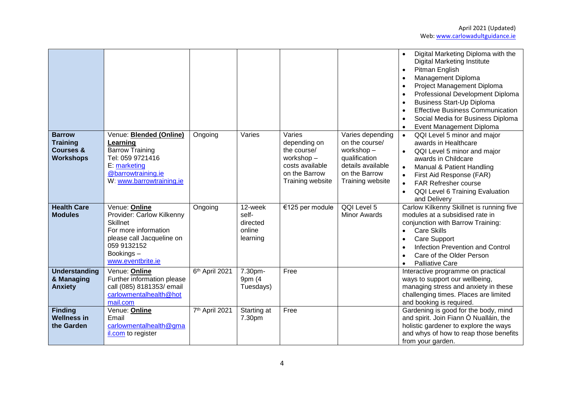|                                                                              |                                                                                                                                                                     |                |                                                    |                                                                                                            |                                                                                                                            | Digital Marketing Diploma with the<br><b>Digital Marketing Institute</b><br>Pitman English<br>Management Diploma<br>Project Management Diploma<br>Professional Development Diploma<br><b>Business Start-Up Diploma</b><br><b>Effective Business Communication</b><br>Social Media for Business Diploma<br>Event Management Diploma |
|------------------------------------------------------------------------------|---------------------------------------------------------------------------------------------------------------------------------------------------------------------|----------------|----------------------------------------------------|------------------------------------------------------------------------------------------------------------|----------------------------------------------------------------------------------------------------------------------------|------------------------------------------------------------------------------------------------------------------------------------------------------------------------------------------------------------------------------------------------------------------------------------------------------------------------------------|
| <b>Barrow</b><br><b>Training</b><br><b>Courses &amp;</b><br><b>Workshops</b> | Venue: <b>Blended (Online)</b><br>Learning<br><b>Barrow Training</b><br>Tel: 059 9721416<br>E: marketing<br>@barrowtraining.ie<br>W: www.barrowtraining.ie          | Ongoing        | Varies                                             | Varies<br>depending on<br>the course/<br>workshop-<br>costs available<br>on the Barrow<br>Training website | Varies depending<br>on the course/<br>workshop-<br>qualification<br>details available<br>on the Barrow<br>Training website | QQI Level 5 minor and major<br>awards in Healthcare<br>QQI Level 5 minor and major<br>awards in Childcare<br>Manual & Patient Handling<br>First Aid Response (FAR)<br><b>FAR Refresher course</b><br>QQI Level 6 Training Evaluation<br>and Delivery                                                                               |
| <b>Health Care</b><br><b>Modules</b>                                         | Venue: Online<br>Provider: Carlow Kilkenny<br><b>Skillnet</b><br>For more information<br>please call Jacqueline on<br>059 9132152<br>Bookings-<br>www.eventbrite.ie | Ongoing        | 12-week<br>self-<br>directed<br>online<br>learning | €125 per module                                                                                            | QQI Level 5<br><b>Minor Awards</b>                                                                                         | Carlow Kilkenny Skillnet is running five<br>modules at a subsidised rate in<br>conjunction with Barrow Training:<br><b>Care Skills</b><br><b>Care Support</b><br><b>Infection Prevention and Control</b><br>Care of the Older Person<br><b>Palliative Care</b>                                                                     |
| <b>Understanding</b><br>& Managing<br><b>Anxiety</b>                         | Venue: Online<br>Further information please<br>call (085) 8181353/ email<br>carlowmentalhealth@hot<br>mail.com                                                      | 6th April 2021 | 7.30pm-<br>9pm (4<br>Tuesdays)                     | Free                                                                                                       |                                                                                                                            | Interactive programme on practical<br>ways to support our wellbeing,<br>managing stress and anxiety in these<br>challenging times. Places are limited<br>and booking is required.                                                                                                                                                  |
| <b>Finding</b><br><b>Wellness in</b><br>the Garden                           | Venue: Online<br>Email<br>carlowmentalhealth@gma<br>il.com to register                                                                                              | 7th April 2021 | Starting at<br>7.30pm                              | Free                                                                                                       |                                                                                                                            | Gardening is good for the body, mind<br>and spirit. Join Fiann Ó Nualláin, the<br>holistic gardener to explore the ways<br>and whys of how to reap those benefits<br>from your garden.                                                                                                                                             |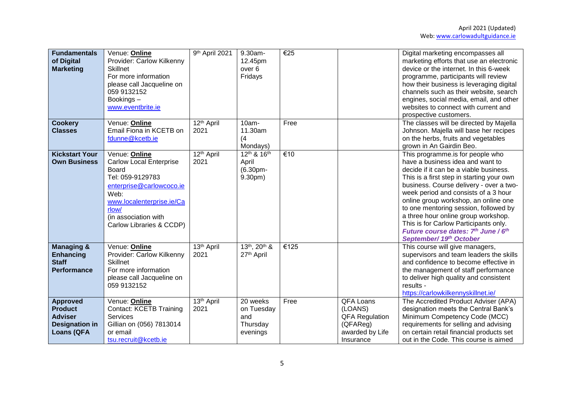| <b>Fundamentals</b><br>of Digital<br><b>Marketing</b>                                             | Venue: Online<br>Provider: Carlow Kilkenny<br><b>Skillnet</b><br>For more information<br>please call Jacqueline on<br>059 9132152<br>Bookings-<br>www.eventbrite.ie                                        | 9th April 2021                 | 9.30am-<br>12.45pm<br>over <sub>6</sub><br>Fridays    | €25  |                                                                                           | Digital marketing encompasses all<br>marketing efforts that use an electronic<br>device or the internet. In this 6-week<br>programme, participants will review<br>how their business is leveraging digital<br>channels such as their website, search<br>engines, social media, email, and other<br>websites to connect with current and<br>prospective customers.                                                                                                                 |
|---------------------------------------------------------------------------------------------------|------------------------------------------------------------------------------------------------------------------------------------------------------------------------------------------------------------|--------------------------------|-------------------------------------------------------|------|-------------------------------------------------------------------------------------------|-----------------------------------------------------------------------------------------------------------------------------------------------------------------------------------------------------------------------------------------------------------------------------------------------------------------------------------------------------------------------------------------------------------------------------------------------------------------------------------|
| <b>Cookery</b><br><b>Classes</b>                                                                  | Venue: Online<br>Email Fiona in KCETB on<br>fdunne@kcetb.ie                                                                                                                                                | 12 <sup>th</sup> April<br>2021 | 10am-<br>11.30am<br>(4)<br>Mondays)                   | Free |                                                                                           | The classes will be directed by Majella<br>Johnson. Majella will base her recipes<br>on the herbs, fruits and vegetables<br>grown in An Gairdin Beo.                                                                                                                                                                                                                                                                                                                              |
| <b>Kickstart Your</b><br><b>Own Business</b>                                                      | Venue: Online<br><b>Carlow Local Enterprise</b><br>Board<br>Tel: 059-9129783<br>enterprise@carlowcoco.ie<br>Web:<br>www.localenterprise.ie/Ca<br>rlow/<br>(in association with<br>Carlow Libraries & CCDP) | 12 <sup>th</sup> April<br>2021 | 12th & 16th<br>April<br>(6.30pm-<br>9.30pm)           | €10  |                                                                                           | This programme.is for people who<br>have a business idea and want to<br>decide if it can be a viable business.<br>This is a first step in starting your own<br>business. Course delivery - over a two-<br>week period and consists of a 3 hour<br>online group workshop, an online one<br>to one mentoring session, followed by<br>a three hour online group workshop.<br>This is for Carlow Participants only.<br>Future course dates: 7th June / 6th<br>September/ 19th October |
| <b>Managing &amp;</b><br><b>Enhancing</b><br><b>Staff</b><br><b>Performance</b>                   | Venue: Online<br>Provider: Carlow Kilkenny<br><b>Skillnet</b><br>For more information<br>please call Jacqueline on<br>059 9132152                                                                          | $13th$ April<br>2021           | 13th, 20th &<br>27 <sup>th</sup> April                | €125 |                                                                                           | This course will give managers,<br>supervisors and team leaders the skills<br>and confidence to become effective in<br>the management of staff performance<br>to deliver high quality and consistent<br>results -<br>https://carlowkilkennyskillnet.ie/                                                                                                                                                                                                                           |
| <b>Approved</b><br><b>Product</b><br><b>Adviser</b><br><b>Designation in</b><br><b>Loans (QFA</b> | Venue: Online<br><b>Contact: KCETB Training</b><br>Services<br>Gillian on (056) 7813014<br>or email<br>tsu.recruit@kcetb.ie                                                                                | 13th April<br>2021             | 20 weeks<br>on Tuesday<br>and<br>Thursday<br>evenings | Free | QFA Loans<br>(LOANS)<br><b>QFA Regulation</b><br>(QFAReg)<br>awarded by Life<br>Insurance | The Accredited Product Adviser (APA)<br>designation meets the Central Bank's<br>Minimum Competency Code (MCC)<br>requirements for selling and advising<br>on certain retail financial products set<br>out in the Code. This course is aimed                                                                                                                                                                                                                                       |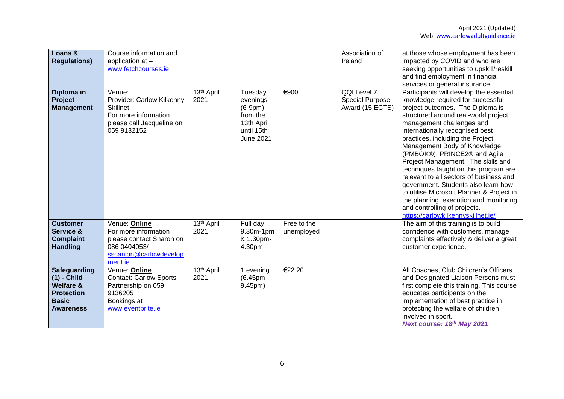| Loans &<br><b>Regulations)</b>                                                                                 | Course information and<br>application at -<br>www.fetchcourses.ie                                                          |                                |                                                                                              |                           | Association of<br>Ireland                                | at those whose employment has been<br>impacted by COVID and who are<br>seeking opportunities to upskill/reskill<br>and find employment in financial<br>services or general insurance.                                                                                                                                                                                                                                                                                                                                                                                                                                                                      |
|----------------------------------------------------------------------------------------------------------------|----------------------------------------------------------------------------------------------------------------------------|--------------------------------|----------------------------------------------------------------------------------------------|---------------------------|----------------------------------------------------------|------------------------------------------------------------------------------------------------------------------------------------------------------------------------------------------------------------------------------------------------------------------------------------------------------------------------------------------------------------------------------------------------------------------------------------------------------------------------------------------------------------------------------------------------------------------------------------------------------------------------------------------------------------|
| Diploma in<br><b>Project</b><br><b>Management</b>                                                              | Venue:<br>Provider: Carlow Kilkenny<br><b>Skillnet</b><br>For more information<br>please call Jacqueline on<br>059 9132152 | 13 <sup>th</sup> April<br>2021 | Tuesday<br>evenings<br>$(6-9pm)$<br>from the<br>13th April<br>until 15th<br><b>June 2021</b> | €900                      | QQI Level 7<br><b>Special Purpose</b><br>Award (15 ECTS) | Participants will develop the essential<br>knowledge required for successful<br>project outcomes. The Diploma is<br>structured around real-world project<br>management challenges and<br>internationally recognised best<br>practices, including the Project<br>Management Body of Knowledge<br>(PMBOK®), PRINCE2® and Agile<br>Project Management. The skills and<br>techniques taught on this program are<br>relevant to all sectors of business and<br>government. Students also learn how<br>to utilise Microsoft Planner & Project in<br>the planning, execution and monitoring<br>and controlling of projects.<br>https://carlowkilkennyskillnet.ie/ |
| <b>Customer</b><br>Service &<br><b>Complaint</b><br><b>Handling</b>                                            | Venue: Online<br>For more information<br>please contact Sharon on<br>086 0404053/<br>sscanlon@carlowdevelop<br>ment.ie     | 13 <sup>th</sup> April<br>2021 | $\overline{Full}$ day<br>9.30m-1pm<br>& 1.30pm-<br>4.30pm                                    | Free to the<br>unemployed |                                                          | The aim of this training is to build<br>confidence with customers, manage<br>complaints effectively & deliver a great<br>customer experience.                                                                                                                                                                                                                                                                                                                                                                                                                                                                                                              |
| Safeguarding<br>$(1)$ - Child<br><b>Welfare &amp;</b><br><b>Protection</b><br><b>Basic</b><br><b>Awareness</b> | Venue: Online<br><b>Contact: Carlow Sports</b><br>Partnership on 059<br>9136205<br>Bookings at<br>www.eventbrite.ie        | 13 <sup>th</sup> April<br>2021 | 1 evening<br>(6.45pm-<br>9.45pm)                                                             | €22.20                    |                                                          | All Coaches, Club Children's Officers<br>and Designated Liaison Persons must<br>first complete this training. This course<br>educates participants on the<br>implementation of best practice in<br>protecting the welfare of children<br>involved in sport.<br>Next course: 18th May 2021                                                                                                                                                                                                                                                                                                                                                                  |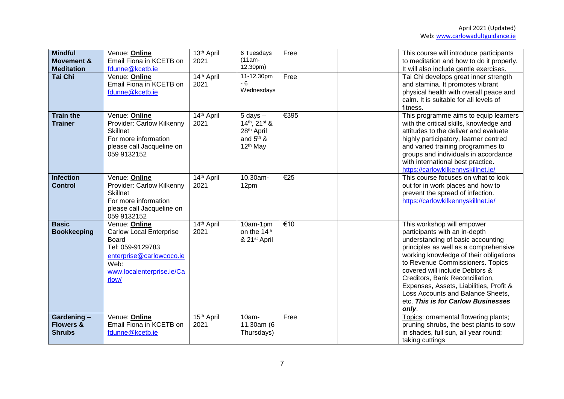| <b>Mindful</b><br><b>Movement &amp;</b><br><b>Meditation</b> | Venue: Online<br>Email Fiona in KCETB on<br>fdunne@kcetb.ie                                                                                                   | 13 <sup>th</sup> April<br>2021 | 6 Tuesdays<br>$(11am -$<br>12.30pm)                                                                | Free | This course will introduce participants<br>to meditation and how to do it properly.<br>It will also include gentle exercises.                                                                                                                                                                                                                                                                                               |
|--------------------------------------------------------------|---------------------------------------------------------------------------------------------------------------------------------------------------------------|--------------------------------|----------------------------------------------------------------------------------------------------|------|-----------------------------------------------------------------------------------------------------------------------------------------------------------------------------------------------------------------------------------------------------------------------------------------------------------------------------------------------------------------------------------------------------------------------------|
| <b>Tai Chi</b>                                               | Venue: Online<br>Email Fiona in KCETB on<br>fdunne@kcetb.ie                                                                                                   | 14th April<br>2021             | 11-12.30pm<br>$-6$<br>Wednesdays                                                                   | Free | Tai Chi develops great inner strength<br>and stamina. It promotes vibrant<br>physical health with overall peace and<br>calm. It is suitable for all levels of<br>fitness.                                                                                                                                                                                                                                                   |
| <b>Train the</b><br><b>Trainer</b>                           | Venue: Online<br>Provider: Carlow Kilkenny<br><b>Skillnet</b><br>For more information<br>please call Jacqueline on<br>059 9132152                             | 14th April<br>2021             | $5$ days $-$<br>$14th$ , $21st$ &<br>28 <sup>th</sup> April<br>and $5th$ &<br>12 <sup>th</sup> May | €395 | This programme aims to equip learners<br>with the critical skills, knowledge and<br>attitudes to the deliver and evaluate<br>highly participatory, learner centred<br>and varied training programmes to<br>groups and individuals in accordance<br>with international best practice.<br>https://carlowkilkennyskillnet.ie/                                                                                                  |
| <b>Infection</b><br><b>Control</b>                           | Venue: Online<br>Provider: Carlow Kilkenny<br><b>Skillnet</b><br>For more information<br>please call Jacqueline on<br>059 9132152                             | 14th April<br>2021             | 10.30am-<br>12pm                                                                                   | €25  | This course focuses on what to look<br>out for in work places and how to<br>prevent the spread of infection.<br>https://carlowkilkennyskillnet.ie/                                                                                                                                                                                                                                                                          |
| <b>Basic</b><br><b>Bookkeeping</b>                           | Venue: Online<br><b>Carlow Local Enterprise</b><br><b>Board</b><br>Tel: 059-9129783<br>enterprise@carlowcoco.ie<br>Web:<br>www.localenterprise.ie/Ca<br>rlow/ | 14th April<br>2021             | 10am-1pm<br>on the 14th<br>& 21 <sup>st</sup> April                                                | €10  | This workshop will empower<br>participants with an in-depth<br>understanding of basic accounting<br>principles as well as a comprehensive<br>working knowledge of their obligations<br>to Revenue Commissioners. Topics<br>covered will include Debtors &<br>Creditors, Bank Reconciliation,<br>Expenses, Assets, Liabilities, Profit &<br>Loss Accounts and Balance Sheets,<br>etc. This is for Carlow Businesses<br>only. |
| Gardening-<br><b>Flowers &amp;</b><br><b>Shrubs</b>          | Venue: Online<br>Email Fiona in KCETB on<br>fdunne@kcetb.ie                                                                                                   | 15 <sup>th</sup> April<br>2021 | 10am-<br>11.30am (6<br>Thursdays)                                                                  | Free | Topics: ornamental flowering plants;<br>pruning shrubs, the best plants to sow<br>in shades, full sun, all year round;<br>taking cuttings                                                                                                                                                                                                                                                                                   |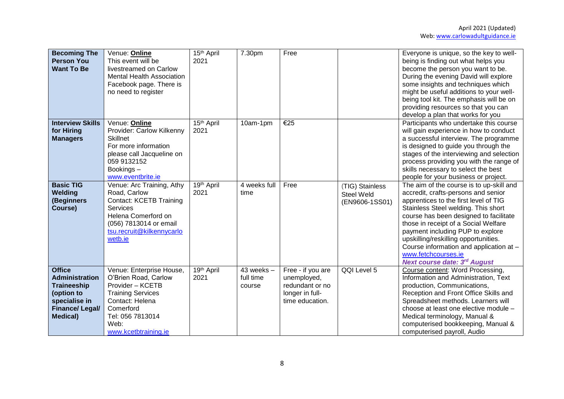| <b>Becoming The</b><br><b>Person You</b><br><b>Want To Be</b>                                                                     | Venue: Online<br>This event will be<br>livestreamed on Carlow<br><b>Mental Health Association</b><br>Facebook page. There is<br>no need to register                                     | 15 <sup>th</sup> April<br>2021 | 7.30pm                                | Free                                                                                      |                                                        | Everyone is unique, so the key to well-<br>being is finding out what helps you<br>become the person you want to be.<br>During the evening David will explore<br>some insights and techniques which<br>might be useful additions to your well-<br>being tool kit. The emphasis will be on                                                                                                                                               |
|-----------------------------------------------------------------------------------------------------------------------------------|-----------------------------------------------------------------------------------------------------------------------------------------------------------------------------------------|--------------------------------|---------------------------------------|-------------------------------------------------------------------------------------------|--------------------------------------------------------|----------------------------------------------------------------------------------------------------------------------------------------------------------------------------------------------------------------------------------------------------------------------------------------------------------------------------------------------------------------------------------------------------------------------------------------|
| <b>Interview Skills</b>                                                                                                           |                                                                                                                                                                                         | 15 <sup>th</sup> April         |                                       | €25                                                                                       |                                                        | providing resources so that you can<br>develop a plan that works for you                                                                                                                                                                                                                                                                                                                                                               |
| for Hiring<br><b>Managers</b>                                                                                                     | Venue: Online<br>Provider: Carlow Kilkenny<br><b>Skillnet</b><br>For more information<br>please call Jacqueline on<br>059 9132152<br>Bookings-<br>www.eventbrite.ie                     | 2021                           | 10am-1pm                              |                                                                                           |                                                        | Participants who undertake this course<br>will gain experience in how to conduct<br>a successful interview. The programme<br>is designed to guide you through the<br>stages of the interviewing and selection<br>process providing you with the range of<br>skills necessary to select the best<br>people for your business or project.                                                                                                |
| <b>Basic TIG</b><br>Welding<br>(Beginners<br>Course)                                                                              | Venue: Arc Training, Athy<br>Road, Carlow<br><b>Contact: KCETB Training</b><br><b>Services</b><br>Helena Comerford on<br>(056) 7813014 or email<br>tsu.recruit@kilkennycarlo<br>wetb.ie | 19th April<br>2021             | 4 weeks full<br>time                  | Free                                                                                      | (TIG) Stainless<br><b>Steel Weld</b><br>(EN9606-1SS01) | The aim of the course is to up-skill and<br>accredit, crafts-persons and senior<br>apprentices to the first level of TIG<br>Stainless Steel welding. This short<br>course has been designed to facilitate<br>those in receipt of a Social Welfare<br>payment including PUP to explore<br>upskilling/reskilling opportunities.<br>Course information and application at -<br>www.fetchcourses.ie<br><b>Next course date: 3rd August</b> |
| <b>Office</b><br>Administration<br><b>Traineeship</b><br>(option to<br>specialise in<br><b>Finance/Legal/</b><br><b>Medical</b> ) | Venue: Enterprise House,<br>O'Brien Road, Carlow<br>Provider - KCETB<br><b>Training Services</b><br>Contact: Helena<br>Comerford<br>Tel: 056 7813014<br>Web:<br>www.kcetbtraining.ie    | 19th April<br>2021             | $43$ weeks $-$<br>full time<br>course | Free - if you are<br>unemployed,<br>redundant or no<br>longer in full-<br>time education. | QQI Level 5                                            | Course content: Word Processing,<br>Information and Administration, Text<br>production, Communications,<br>Reception and Front Office Skills and<br>Spreadsheet methods. Learners will<br>choose at least one elective module -<br>Medical terminology, Manual &<br>computerised bookkeeping, Manual &<br>computerised payroll, Audio                                                                                                  |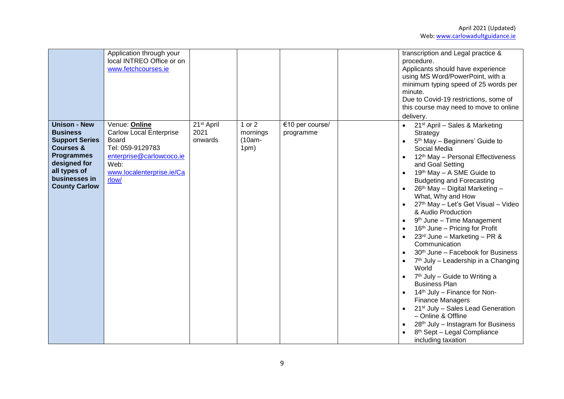|                                                                                                                                                                                       | Application through your<br>local INTREO Office or on<br>www.fetchcourses.ie                                                                           |                                           |                                          |                              | transcription and Legal practice &<br>procedure.<br>Applicants should have experience<br>using MS Word/PowerPoint, with a<br>minimum typing speed of 25 words per<br>minute.<br>Due to Covid-19 restrictions, some of<br>this course may need to move to online<br>delivery.                                                                                                                                                                                                                                                                                                                                                                                                                                                                                                                                                                                                                                                                 |
|---------------------------------------------------------------------------------------------------------------------------------------------------------------------------------------|--------------------------------------------------------------------------------------------------------------------------------------------------------|-------------------------------------------|------------------------------------------|------------------------------|----------------------------------------------------------------------------------------------------------------------------------------------------------------------------------------------------------------------------------------------------------------------------------------------------------------------------------------------------------------------------------------------------------------------------------------------------------------------------------------------------------------------------------------------------------------------------------------------------------------------------------------------------------------------------------------------------------------------------------------------------------------------------------------------------------------------------------------------------------------------------------------------------------------------------------------------|
| <b>Unison - New</b><br><b>Business</b><br><b>Support Series</b><br><b>Courses &amp;</b><br><b>Programmes</b><br>designed for<br>all types of<br>businesses in<br><b>County Carlow</b> | Venue: Online<br><b>Carlow Local Enterprise</b><br>Board<br>Tel: 059-9129783<br>enterprise@carlowcoco.ie<br>Web:<br>www.localenterprise.ie/Ca<br>rlow/ | 21 <sup>st</sup> April<br>2021<br>onwards | $1$ or $2$<br>mornings<br>(10am-<br>1pm) | €10 per course/<br>programme | • $21st$ April – Sales & Marketing<br>Strategy<br>5 <sup>th</sup> May - Beginners' Guide to<br>Social Media<br>12 <sup>th</sup> May - Personal Effectiveness<br>and Goal Setting<br>19th May - A SME Guide to<br><b>Budgeting and Forecasting</b><br>26th May - Digital Marketing -<br>What, Why and How<br>27th May - Let's Get Visual - Video<br>& Audio Production<br>9 <sup>th</sup> June - Time Management<br>$\bullet$<br>16th June - Pricing for Profit<br>23rd June - Marketing - PR &<br>Communication<br>30 <sup>th</sup> June - Facebook for Business<br>7 <sup>th</sup> July - Leadership in a Changing<br>World<br>7 <sup>th</sup> July - Guide to Writing a<br><b>Business Plan</b><br>14th July - Finance for Non-<br><b>Finance Managers</b><br>21 <sup>st</sup> July - Sales Lead Generation<br>- Online & Offline<br>$28th$ July – Instagram for Business<br>8 <sup>th</sup> Sept - Legal Compliance<br>including taxation |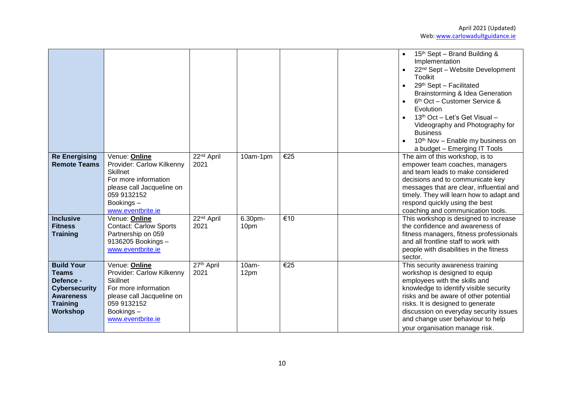|                                                                                                                           |                                                                                                                                                                     |                                |                 |                          | 15 <sup>th</sup> Sept – Brand Building &<br>Implementation<br>22 <sup>nd</sup> Sept - Website Development<br>$\bullet$<br>Toolkit<br>29th Sept - Facilitated<br>$\bullet$<br>Brainstorming & Idea Generation<br>6 <sup>th</sup> Oct - Customer Service &<br>Evolution<br>13 <sup>th</sup> Oct - Let's Get Visual -<br>Videography and Photography for<br><b>Business</b><br>10 <sup>th</sup> Nov - Enable my business on<br>a budget - Emerging IT Tools |
|---------------------------------------------------------------------------------------------------------------------------|---------------------------------------------------------------------------------------------------------------------------------------------------------------------|--------------------------------|-----------------|--------------------------|----------------------------------------------------------------------------------------------------------------------------------------------------------------------------------------------------------------------------------------------------------------------------------------------------------------------------------------------------------------------------------------------------------------------------------------------------------|
| <b>Re Energising</b><br><b>Remote Teams</b>                                                                               | Venue: Online<br>Provider: Carlow Kilkenny<br><b>Skillnet</b><br>For more information<br>please call Jacqueline on<br>059 9132152<br>Bookings-<br>www.eventbrite.ie | 22 <sup>nd</sup> April<br>2021 | 10am-1pm        | €25                      | The aim of this workshop, is to<br>empower team coaches, managers<br>and team leads to make considered<br>decisions and to communicate key<br>messages that are clear, influential and<br>timely. They will learn how to adapt and<br>respond quickly using the best<br>coaching and communication tools.                                                                                                                                                |
| <b>Inclusive</b><br><b>Fitness</b><br><b>Training</b>                                                                     | Venue: Online<br><b>Contact: Carlow Sports</b><br>Partnership on 059<br>9136205 Bookings -<br>www.eventbrite.ie                                                     | 22 <sup>nd</sup> April<br>2021 | 6.30pm-<br>10pm | $\overline{\epsilon}$ 10 | This workshop is designed to increase<br>the confidence and awareness of<br>fitness managers, fitness professionals<br>and all frontline staff to work with<br>people with disabilities in the fitness<br>sector.                                                                                                                                                                                                                                        |
| <b>Build Your</b><br><b>Teams</b><br>Defence -<br><b>Cybersecurity</b><br><b>Awareness</b><br><b>Training</b><br>Workshop | Venue: Online<br>Provider: Carlow Kilkenny<br>Skillnet<br>For more information<br>please call Jacqueline on<br>059 9132152<br>Bookings-<br>www.eventbrite.ie        | 27th April<br>2021             | 10am-<br>12pm   | €25                      | This security awareness training<br>workshop is designed to equip<br>employees with the skills and<br>knowledge to identify visible security<br>risks and be aware of other potential<br>risks. It is designed to generate<br>discussion on everyday security issues<br>and change user behaviour to help<br>your organisation manage risk.                                                                                                              |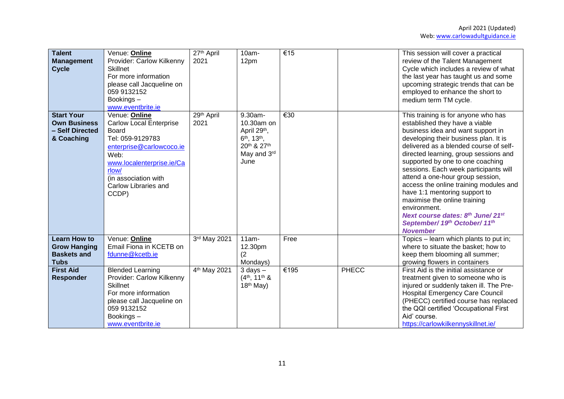| <b>Talent</b><br><b>Management</b><br><b>Cycle</b>                              | Venue: Online<br>Provider: Carlow Kilkenny<br><b>Skillnet</b><br>For more information<br>please call Jacqueline on<br>059 9132152<br>Bookings-<br>www.eventbrite.ie                                             | 27th April<br>2021       | 10am-<br>12pm                                                                                            | €15  |       | This session will cover a practical<br>review of the Talent Management<br>Cycle which includes a review of what<br>the last year has taught us and some<br>upcoming strategic trends that can be<br>employed to enhance the short to<br>medium term TM cycle.                                                                                                                                                                                                                                                                                                              |
|---------------------------------------------------------------------------------|-----------------------------------------------------------------------------------------------------------------------------------------------------------------------------------------------------------------|--------------------------|----------------------------------------------------------------------------------------------------------|------|-------|----------------------------------------------------------------------------------------------------------------------------------------------------------------------------------------------------------------------------------------------------------------------------------------------------------------------------------------------------------------------------------------------------------------------------------------------------------------------------------------------------------------------------------------------------------------------------|
| <b>Start Your</b><br><b>Own Business</b><br>- Self Directed<br>& Coaching       | Venue: Online<br><b>Carlow Local Enterprise</b><br>Board<br>Tel: 059-9129783<br>enterprise@carlowcoco.ie<br>Web:<br>www.localenterprise.ie/Ca<br>rlow/<br>(in association with<br>Carlow Libraries and<br>CCDP) | 29th April<br>2021       | 9.30am-<br>10.30am on<br>April 29th,<br>$6th$ , 13 <sup>th</sup> ,<br>20th & 27th<br>May and 3rd<br>June | €30  |       | This training is for anyone who has<br>established they have a viable<br>business idea and want support in<br>developing their business plan. It is<br>delivered as a blended course of self-<br>directed learning, group sessions and<br>supported by one to one coaching<br>sessions. Each week participants will<br>attend a one-hour group session,<br>access the online training modules and<br>have 1:1 mentoring support to<br>maximise the online training<br>environment.<br>Next course dates: 8th June/21st<br>September/ 19th October/ 11th<br><b>November</b> |
| <b>Learn How to</b><br><b>Grow Hanging</b><br><b>Baskets and</b><br><b>Tubs</b> | Venue: Online<br>Email Fiona in KCETB on<br>fdunne@kcetb.ie                                                                                                                                                     | 3rd May 2021             | $11am -$<br>12.30pm<br>(2<br>Mondays)                                                                    | Free |       | Topics - learn which plants to put in;<br>where to situate the basket; how to<br>keep them blooming all summer;<br>growing flowers in containers                                                                                                                                                                                                                                                                                                                                                                                                                           |
| <b>First Aid</b><br><b>Responder</b>                                            | <b>Blended Learning</b><br>Provider: Carlow Kilkenny<br>Skillnet<br>For more information<br>please call Jacqueline on<br>059 9132152<br>Bookings-<br>www.eventbrite.ie                                          | 4 <sup>th</sup> May 2021 | $3$ days $-$<br>$(4th, 11th$ &<br>$18th$ May)                                                            | €195 | PHECC | First Aid is the initial assistance or<br>treatment given to someone who is<br>injured or suddenly taken ill. The Pre-<br><b>Hospital Emergency Care Council</b><br>(PHECC) certified course has replaced<br>the QQI certified 'Occupational First<br>Aid' course.<br>https://carlowkilkennyskillnet.ie/                                                                                                                                                                                                                                                                   |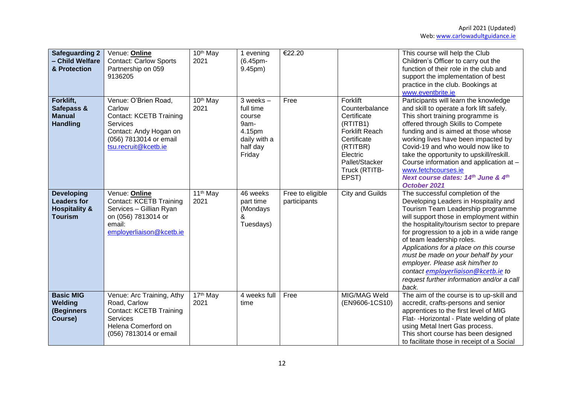| <b>Safeguarding 2</b><br>- Child Welfare<br>& Protection                              | Venue: Online<br><b>Contact: Carlow Sports</b><br>Partnership on 059<br>9136205                                                                          | 10 <sup>th</sup> May<br>2021 | 1 evening<br>(6.45pm-<br>9.45pm)                                                             | €22.20                           |                                                                                                                                                                   | This course will help the Club<br>Children's Officer to carry out the<br>function of their role in the club and<br>support the implementation of best<br>practice in the club. Bookings at<br>www.eventbrite.ie                                                                                                                                                                                                                                                                                   |
|---------------------------------------------------------------------------------------|----------------------------------------------------------------------------------------------------------------------------------------------------------|------------------------------|----------------------------------------------------------------------------------------------|----------------------------------|-------------------------------------------------------------------------------------------------------------------------------------------------------------------|---------------------------------------------------------------------------------------------------------------------------------------------------------------------------------------------------------------------------------------------------------------------------------------------------------------------------------------------------------------------------------------------------------------------------------------------------------------------------------------------------|
| Forklift,<br>Safepass &<br><b>Manual</b><br><b>Handling</b>                           | Venue: O'Brien Road,<br>Carlow<br><b>Contact: KCETB Training</b><br>Services<br>Contact: Andy Hogan on<br>(056) 7813014 or email<br>tsu.recruit@kcetb.ie | 10 <sup>th</sup> May<br>2021 | $3$ weeks $-$<br>full time<br>course<br>9am-<br>4.15pm<br>daily with a<br>half day<br>Friday | Free                             | Forklift<br>Counterbalance<br>Certificate<br>(RTITB1)<br><b>Forklift Reach</b><br>Certificate<br>(RTITBR)<br>Electric<br>Pallet/Stacker<br>Truck (RTITB-<br>EPST) | Participants will learn the knowledge<br>and skill to operate a fork lift safely.<br>This short training programme is<br>offered through Skills to Compete<br>funding and is aimed at those whose<br>working lives have been impacted by<br>Covid-19 and who would now like to<br>take the opportunity to upskill/reskill.<br>Course information and application at -<br>www.fetchcourses.ie<br>Next course dates: 14th June & 4th<br>October 2021                                                |
| <b>Developing</b><br><b>Leaders for</b><br><b>Hospitality &amp;</b><br><b>Tourism</b> | Venue: Online<br><b>Contact: KCETB Training</b><br>Services - Gillian Ryan<br>on (056) 7813014 or<br>email:<br>employerliaison@kcetb.ie                  | 11 <sup>th</sup> May<br>2021 | 46 weeks<br>part time<br>(Mondays<br>&<br>Tuesdays)                                          | Free to eligible<br>participants | City and Guilds                                                                                                                                                   | The successful completion of the<br>Developing Leaders in Hospitality and<br>Tourism Team Leadership programme<br>will support those in employment within<br>the hospitality/tourism sector to prepare<br>for progression to a job in a wide range<br>of team leadership roles.<br>Applications for a place on this course<br>must be made on your behalf by your<br>employer. Please ask him/her to<br>contact employerliaison@kcetb.ie to<br>request further information and/or a call<br>back. |
| <b>Basic MIG</b><br>Welding<br>(Beginners<br>Course)                                  | Venue: Arc Training, Athy<br>Road, Carlow<br><b>Contact: KCETB Training</b><br><b>Services</b><br>Helena Comerford on<br>(056) 7813014 or email          | 17th May<br>2021             | 4 weeks full<br>time                                                                         | Free                             | MIG/MAG Weld<br>(EN9606-1CS10)                                                                                                                                    | The aim of the course is to up-skill and<br>accredit, crafts-persons and senior<br>apprentices to the first level of MIG<br>Flat- - Horizontal - Plate welding of plate<br>using Metal Inert Gas process.<br>This short course has been designed<br>to facilitate those in receipt of a Social                                                                                                                                                                                                    |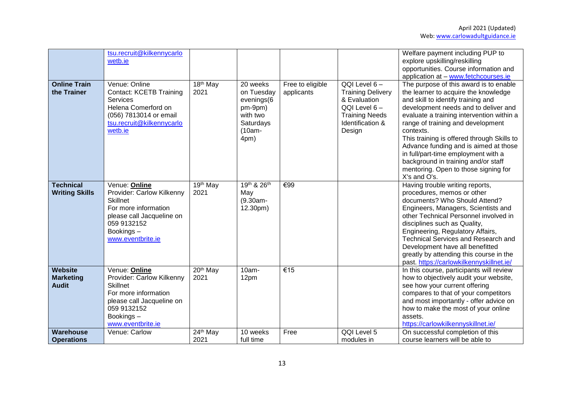|                                                    | tsu.recruit@kilkennycarlo<br>wetb.ie                                                                                                                                |                                           |                                                                                            |                                |                                                                                                                                 | Welfare payment including PUP to<br>explore upskilling/reskilling<br>opportunities. Course information and<br>application at - www.fetchcourses.ie                                                                                                                                                                                                                                                                                                                                       |
|----------------------------------------------------|---------------------------------------------------------------------------------------------------------------------------------------------------------------------|-------------------------------------------|--------------------------------------------------------------------------------------------|--------------------------------|---------------------------------------------------------------------------------------------------------------------------------|------------------------------------------------------------------------------------------------------------------------------------------------------------------------------------------------------------------------------------------------------------------------------------------------------------------------------------------------------------------------------------------------------------------------------------------------------------------------------------------|
| <b>Online Train</b><br>the Trainer                 | Venue: Online<br><b>Contact: KCETB Training</b><br>Services<br>Helena Comerford on<br>(056) 7813014 or email<br>tsu.recruit@kilkennycarlo<br>wetb.ie                | 18 <sup>th</sup> May<br>2021              | 20 weeks<br>on Tuesday<br>evenings(6<br>pm-9pm)<br>with two<br>Saturdays<br>(10am-<br>4pm) | Free to eligible<br>applicants | QQI Level 6-<br><b>Training Delivery</b><br>& Evaluation<br>QQI Level 6-<br><b>Training Needs</b><br>Identification &<br>Design | The purpose of this award is to enable<br>the learner to acquire the knowledge<br>and skill to identify training and<br>development needs and to deliver and<br>evaluate a training intervention within a<br>range of training and development<br>contexts.<br>This training is offered through Skills to<br>Advance funding and is aimed at those<br>in full/part-time employment with a<br>background in training and/or staff<br>mentoring. Open to those signing for<br>X's and O's. |
| <b>Technical</b><br><b>Writing Skills</b>          | Venue: Online<br>Provider: Carlow Kilkenny<br><b>Skillnet</b><br>For more information<br>please call Jacqueline on<br>059 9132152<br>Bookings-<br>www.eventbrite.ie | $\overline{19}$ <sup>th</sup> May<br>2021 | 19th & 26th<br>May<br>(9.30am-<br>12.30pm)                                                 | €99                            |                                                                                                                                 | Having trouble writing reports,<br>procedures, memos or other<br>documents? Who Should Attend?<br>Engineers, Managers, Scientists and<br>other Technical Personnel involved in<br>disciplines such as Quality,<br>Engineering, Regulatory Affairs,<br>Technical Services and Research and<br>Development have all benefitted<br>greatly by attending this course in the<br>past. https://carlowkilkennyskillnet.ie/                                                                      |
| <b>Website</b><br><b>Marketing</b><br><b>Audit</b> | Venue: Online<br>Provider: Carlow Kilkenny<br><b>Skillnet</b><br>For more information<br>please call Jacqueline on<br>059 9132152<br>Bookings-<br>www.eventbrite.ie | $20th$ May<br>2021                        | 10am-<br>12pm                                                                              | €15                            |                                                                                                                                 | In this course, participants will review<br>how to objectively audit your website,<br>see how your current offering<br>compares to that of your competitors<br>and most importantly - offer advice on<br>how to make the most of your online<br>assets.<br>https://carlowkilkennyskillnet.ie/                                                                                                                                                                                            |
| Warehouse<br><b>Operations</b>                     | Venue: Carlow                                                                                                                                                       | 24th May<br>2021                          | 10 weeks<br>full time                                                                      | Free                           | QQI Level 5<br>modules in                                                                                                       | On successful completion of this<br>course learners will be able to                                                                                                                                                                                                                                                                                                                                                                                                                      |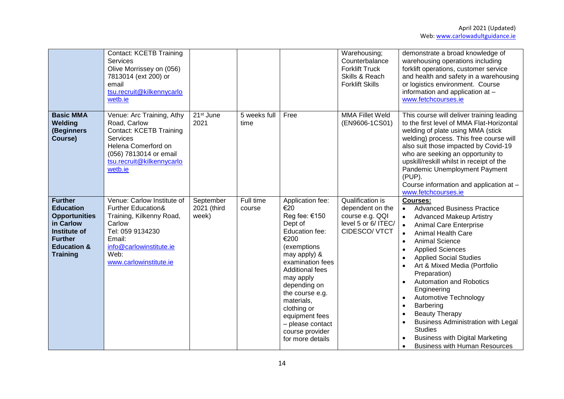|                                                                                                                                                               | <b>Contact: KCETB Training</b><br>Services<br>Olive Morrissey on (056)<br>7813014 (ext 200) or<br>email<br>tsu.recruit@kilkennycarlo<br>wetb.ie                                              |                                   |                      |                                                                                                                                                                                                                                                                                                                      | Warehousing;<br>Counterbalance<br><b>Forklift Truck</b><br>Skills & Reach<br><b>Forklift Skills</b> | demonstrate a broad knowledge of<br>warehousing operations including<br>forklift operations, customer service<br>and health and safety in a warehousing<br>or logistics environment. Course<br>information and application at -<br>www.fetchcourses.ie                                                                                                                                                                                                                                                                                                                                                                             |
|---------------------------------------------------------------------------------------------------------------------------------------------------------------|----------------------------------------------------------------------------------------------------------------------------------------------------------------------------------------------|-----------------------------------|----------------------|----------------------------------------------------------------------------------------------------------------------------------------------------------------------------------------------------------------------------------------------------------------------------------------------------------------------|-----------------------------------------------------------------------------------------------------|------------------------------------------------------------------------------------------------------------------------------------------------------------------------------------------------------------------------------------------------------------------------------------------------------------------------------------------------------------------------------------------------------------------------------------------------------------------------------------------------------------------------------------------------------------------------------------------------------------------------------------|
| <b>Basic MMA</b><br>Welding<br>(Beginners<br>Course)                                                                                                          | Venue: Arc Training, Athy<br>Road, Carlow<br><b>Contact: KCETB Training</b><br><b>Services</b><br>Helena Comerford on<br>(056) 7813014 or email<br>tsu.recruit@kilkennycarlo<br>wetb.ie      | 21 <sup>st</sup> June<br>2021     | 5 weeks full<br>time | Free                                                                                                                                                                                                                                                                                                                 | <b>MMA Fillet Weld</b><br>(EN9606-1CS01)                                                            | This course will deliver training leading<br>to the first level of MMA Flat-Horizontal<br>welding of plate using MMA (stick<br>welding) process. This free course will<br>also suit those impacted by Covid-19<br>who are seeking an opportunity to<br>upskill/reskill whilst in receipt of the<br>Pandemic Unemployment Payment<br>(PUP).<br>Course information and application at -<br>www.fetchcourses.ie                                                                                                                                                                                                                       |
| <b>Further</b><br><b>Education</b><br><b>Opportunities</b><br>in Carlow<br><b>Institute of</b><br><b>Further</b><br><b>Education &amp;</b><br><b>Training</b> | Venue: Carlow Institute of<br><b>Further Education&amp;</b><br>Training, Kilkenny Road,<br>Carlow<br>Tel: 059 9134230<br>Email:<br>info@carlowinstitute.ie<br>Web:<br>www.carlowinstitute.ie | September<br>2021 (third<br>week) | Full time<br>course  | Application fee:<br>€20<br>Reg fee: €150<br>Dept of<br>Education fee:<br>€200<br>(exemptions<br>may apply) &<br>examination fees<br><b>Additional fees</b><br>may apply<br>depending on<br>the course e.g.<br>materials,<br>clothing or<br>equipment fees<br>- please contact<br>course provider<br>for more details | Qualification is<br>dependent on the<br>course e.g. QQI<br>level 5 or 6/ ITEC/<br>CIDESCO/ VTCT     | Courses:<br><b>Advanced Business Practice</b><br>$\bullet$<br><b>Advanced Makeup Artistry</b><br>$\bullet$<br><b>Animal Care Enterprise</b><br>$\bullet$<br><b>Animal Health Care</b><br>$\bullet$<br><b>Animal Science</b><br>$\bullet$<br><b>Applied Sciences</b><br><b>Applied Social Studies</b><br>Art & Mixed Media (Portfolio<br>Preparation)<br><b>Automation and Robotics</b><br>Engineering<br>Automotive Technology<br>Barbering<br>$\bullet$<br><b>Beauty Therapy</b><br><b>Business Administration with Legal</b><br><b>Studies</b><br><b>Business with Digital Marketing</b><br><b>Business with Human Resources</b> |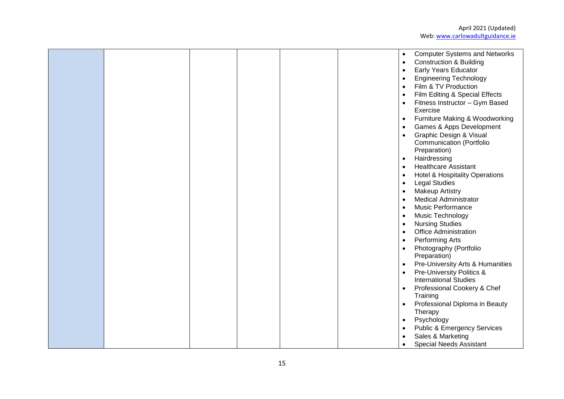|  |  |  | $\bullet$ | <b>Computer Systems and Networks</b>      |
|--|--|--|-----------|-------------------------------------------|
|  |  |  | $\bullet$ | <b>Construction &amp; Building</b>        |
|  |  |  | $\bullet$ | <b>Early Years Educator</b>               |
|  |  |  | $\bullet$ | <b>Engineering Technology</b>             |
|  |  |  | $\bullet$ | Film & TV Production                      |
|  |  |  | $\bullet$ | Film Editing & Special Effects            |
|  |  |  | $\bullet$ | Fitness Instructor - Gym Based            |
|  |  |  |           | Exercise                                  |
|  |  |  | $\bullet$ | Furniture Making & Woodworking            |
|  |  |  | $\bullet$ | Games & Apps Development                  |
|  |  |  | $\bullet$ | Graphic Design & Visual                   |
|  |  |  |           | <b>Communication (Portfolio</b>           |
|  |  |  |           | Preparation)                              |
|  |  |  | $\bullet$ | Hairdressing                              |
|  |  |  |           | <b>Healthcare Assistant</b>               |
|  |  |  | $\bullet$ |                                           |
|  |  |  | $\bullet$ | <b>Hotel &amp; Hospitality Operations</b> |
|  |  |  | $\bullet$ | <b>Legal Studies</b>                      |
|  |  |  | $\bullet$ | <b>Makeup Artistry</b>                    |
|  |  |  | $\bullet$ | <b>Medical Administrator</b>              |
|  |  |  | $\bullet$ | <b>Music Performance</b>                  |
|  |  |  | $\bullet$ | Music Technology                          |
|  |  |  | $\bullet$ | <b>Nursing Studies</b>                    |
|  |  |  | $\bullet$ | <b>Office Administration</b>              |
|  |  |  | $\bullet$ | Performing Arts                           |
|  |  |  | $\bullet$ | Photography (Portfolio                    |
|  |  |  |           | Preparation)                              |
|  |  |  | $\bullet$ | Pre-University Arts & Humanities          |
|  |  |  | $\bullet$ | Pre-University Politics &                 |
|  |  |  |           | <b>International Studies</b>              |
|  |  |  | $\bullet$ | Professional Cookery & Chef               |
|  |  |  |           | Training                                  |
|  |  |  | $\bullet$ | Professional Diploma in Beauty            |
|  |  |  |           | Therapy                                   |
|  |  |  | $\bullet$ | Psychology                                |
|  |  |  |           | <b>Public &amp; Emergency Services</b>    |
|  |  |  |           | Sales & Marketing                         |
|  |  |  |           | <b>Special Needs Assistant</b>            |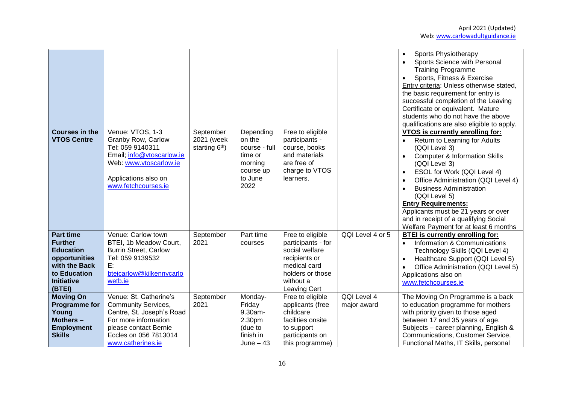| <b>Courses in the</b><br><b>VTOS Centre</b>                                                                                             | Venue: VTOS, 1-3<br>Granby Row, Carlow<br>Tel: 059 9140311<br>Email; info@vtoscarlow.ie<br>Web: www.vtoscarlow.ie<br>Applications also on<br>www.fetchcourses.ie                 | September<br>2021 (week<br>starting 6 <sup>th</sup> ) | Depending<br>on the<br>course - full<br>time or<br>morning<br>course up<br>to June<br>2022 | Free to eligible<br>participants -<br>course, books<br>and materials<br>are free of<br>charge to VTOS<br>learners.                         |                            | <b>Sports Physiotherapy</b><br>Sports Science with Personal<br><b>Training Programme</b><br>Sports, Fitness & Exercise<br>Entry criteria: Unless otherwise stated,<br>the basic requirement for entry is<br>successful completion of the Leaving<br>Certificate or equivalent. Mature<br>students who do not have the above<br>qualifications are also eligible to apply.<br><b>VTOS is currently enrolling for:</b><br>Return to Learning for Adults<br>(QQI Level 3)<br><b>Computer &amp; Information Skills</b><br>(QQI Level 3)<br>ESOL for Work (QQI Level 4)<br>Office Administration (QQI Level 4)<br><b>Business Administration</b><br>(QQI Level 5)<br><b>Entry Requirements:</b><br>Applicants must be 21 years or over<br>and in receipt of a qualifying Social<br>Welfare Payment for at least 6 months |
|-----------------------------------------------------------------------------------------------------------------------------------------|----------------------------------------------------------------------------------------------------------------------------------------------------------------------------------|-------------------------------------------------------|--------------------------------------------------------------------------------------------|--------------------------------------------------------------------------------------------------------------------------------------------|----------------------------|---------------------------------------------------------------------------------------------------------------------------------------------------------------------------------------------------------------------------------------------------------------------------------------------------------------------------------------------------------------------------------------------------------------------------------------------------------------------------------------------------------------------------------------------------------------------------------------------------------------------------------------------------------------------------------------------------------------------------------------------------------------------------------------------------------------------|
| <b>Part time</b><br><b>Further</b><br><b>Education</b><br>opportunities<br>with the Back<br>to Education<br><b>Initiative</b><br>(BTEI) | Venue: Carlow town<br>BTEI, 1b Meadow Court,<br><b>Burrin Street, Carlow</b><br>Tel: 059 9139532<br>E:<br>bteicarlow@kilkennycarlo<br>wetb.ie                                    | September<br>2021                                     | Part time<br>courses                                                                       | Free to eligible<br>participants - for<br>social welfare<br>recipients or<br>medical card<br>holders or those<br>without a<br>Leaving Cert | QQI Level 4 or 5           | <b>BTEI</b> is currently enrolling for:<br>Information & Communications<br>$\bullet$<br>Technology Skills (QQI Level 4)<br>Healthcare Support (QQI Level 5)<br>$\bullet$<br>Office Administration (QQI Level 5)<br>Applications also on<br>www.fetchcourses.ie                                                                                                                                                                                                                                                                                                                                                                                                                                                                                                                                                      |
| <b>Moving On</b><br><b>Programme for</b><br>Young<br>Mothers -<br><b>Employment</b><br><b>Skills</b>                                    | Venue: St. Catherine's<br><b>Community Services,</b><br>Centre, St. Joseph's Road<br>For more information<br>please contact Bernie<br>Eccles on 056 7813014<br>www.catherines.ie | September<br>2021                                     | Monday-<br>Friday<br>9.30am-<br>2.30pm<br>(due to<br>finish in<br>June $-43$               | Free to eligible<br>applicants (free<br>childcare<br>facilities onsite<br>to support<br>participants on<br>this programme)                 | QQI Level 4<br>major award | The Moving On Programme is a back<br>to education programme for mothers<br>with priority given to those aged<br>between 17 and 35 years of age.<br>Subjects - career planning, English &<br>Communications, Customer Service,<br>Functional Maths, IT Skills, personal                                                                                                                                                                                                                                                                                                                                                                                                                                                                                                                                              |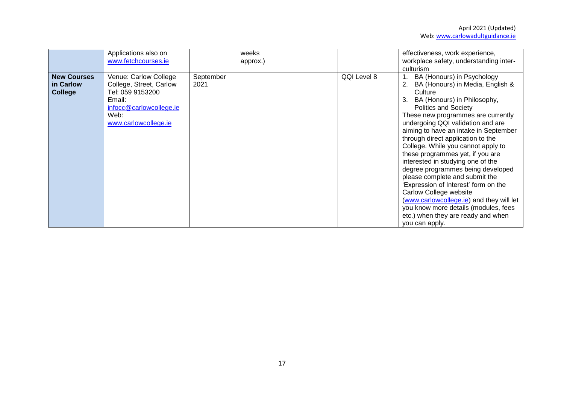|                                                   | Applications also on<br>www.fetchcourses.ie                                                                                               |                   | weeks<br>approx.) |             | effectiveness, work experience,<br>workplace safety, understanding inter-<br>culturism                                                                                                                                                                                                                                                                                                                                                                                                                                                                                                                                                                                                                           |
|---------------------------------------------------|-------------------------------------------------------------------------------------------------------------------------------------------|-------------------|-------------------|-------------|------------------------------------------------------------------------------------------------------------------------------------------------------------------------------------------------------------------------------------------------------------------------------------------------------------------------------------------------------------------------------------------------------------------------------------------------------------------------------------------------------------------------------------------------------------------------------------------------------------------------------------------------------------------------------------------------------------------|
| <b>New Courses</b><br>in Carlow<br><b>College</b> | Venue: Carlow College<br>College, Street, Carlow<br>Tel: 059 9153200<br>Email:<br>infocc@carlowcollege.ie<br>Web:<br>www.carlowcollege.ie | September<br>2021 |                   | QQI Level 8 | BA (Honours) in Psychology<br>BA (Honours) in Media, English &<br>2.<br>Culture<br>BA (Honours) in Philosophy,<br>3.<br><b>Politics and Society</b><br>These new programmes are currently<br>undergoing QQI validation and are<br>aiming to have an intake in September<br>through direct application to the<br>College. While you cannot apply to<br>these programmes yet, if you are<br>interested in studying one of the<br>degree programmes being developed<br>please complete and submit the<br>'Expression of Interest' form on the<br>Carlow College website<br>(www.carlowcollege.ie) and they will let<br>you know more details (modules, fees<br>etc.) when they are ready and when<br>you can apply. |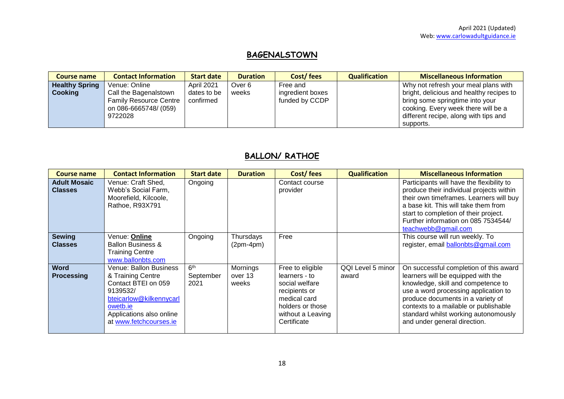# **BAGENALSTOWN**

| <b>Course name</b>    | <b>Contact Information</b>    | <b>Start date</b> | <b>Duration</b> | Cost/fees        | <b>Qualification</b> | <b>Miscellaneous Information</b>         |
|-----------------------|-------------------------------|-------------------|-----------------|------------------|----------------------|------------------------------------------|
| <b>Healthy Spring</b> | Venue: Online                 | <b>April 2021</b> | Over 6          | Free and         |                      | Why not refresh your meal plans with     |
| Cooking               | Call the Bagenalstown         | dates to be       | weeks           | ingredient boxes |                      | bright, delicious and healthy recipes to |
|                       | <b>Family Resource Centre</b> | confirmed         |                 | funded by CCDP   |                      | bring some springtime into your          |
|                       | on 086-6665748/ (059)         |                   |                 |                  |                      | cooking. Every week there will be a      |
|                       | 9722028                       |                   |                 |                  |                      | different recipe, along with tips and    |
|                       |                               |                   |                 |                  |                      | supports.                                |

# **BALLON/ RATHOE**

| <b>Course name</b>                    | <b>Contact Information</b>                                                                                                                                                         | <b>Start date</b>                    | <b>Duration</b>              | Cost/fees                                                                                                                                    | <b>Qualification</b>       | <b>Miscellaneous Information</b>                                                                                                                                                                                                                                                                                 |
|---------------------------------------|------------------------------------------------------------------------------------------------------------------------------------------------------------------------------------|--------------------------------------|------------------------------|----------------------------------------------------------------------------------------------------------------------------------------------|----------------------------|------------------------------------------------------------------------------------------------------------------------------------------------------------------------------------------------------------------------------------------------------------------------------------------------------------------|
| <b>Adult Mosaic</b><br><b>Classes</b> | Venue: Craft Shed,<br>Webb's Social Farm,<br>Moorefield, Kilcoole,<br>Rathoe, R93X791                                                                                              | Ongoing                              |                              | Contact course<br>provider                                                                                                                   |                            | Participants will have the flexibility to<br>produce their individual projects within<br>their own timeframes. Learners will buy<br>a base kit. This will take them from<br>start to completion of their project.<br>Further information on 085 7534544/<br>teachwebb@gmail.com                                  |
| <b>Sewing</b><br><b>Classes</b>       | Venue: <b>Online</b><br><b>Ballon Business &amp;</b><br><b>Training Centre</b><br>www.ballonbts.com                                                                                | Ongoing                              | Thursdays<br>$(2pm-4pm)$     | Free                                                                                                                                         |                            | This course will run weekly. To<br>register, email ballonbts@gmail.com                                                                                                                                                                                                                                           |
| <b>Word</b><br><b>Processing</b>      | <b>Venue: Ballon Business</b><br>& Training Centre<br>Contact BTEI on 059<br>9139532/<br>bteicarlow@kilkennycarl<br>owetb.ie<br>Applications also online<br>at www.fetchcourses.ie | 6 <sup>th</sup><br>September<br>2021 | Mornings<br>over 13<br>weeks | Free to eligible<br>learners - to<br>social welfare<br>recipients or<br>medical card<br>holders or those<br>without a Leaving<br>Certificate | QQI Level 5 minor<br>award | On successful completion of this award<br>learners will be equipped with the<br>knowledge, skill and competence to<br>use a word processing application to<br>produce documents in a variety of<br>contexts to a mailable or publishable<br>standard whilst working autonomously<br>and under general direction. |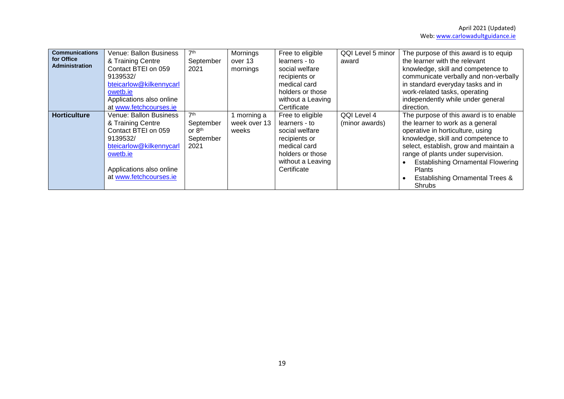| <b>Communications</b><br>for Office<br><b>Administration</b> | Venue: Ballon Business<br>& Training Centre<br>Contact BTEI on 059<br>9139532/<br>bteicarlow@kilkennycarl<br>owetb.ie<br>Applications also online<br>at www.fetchcourses.ie        | 7 <sup>th</sup><br>September<br>2021                                    | Mornings<br>over 13<br>mornings    | Free to eligible<br>learners - to<br>social welfare<br>recipients or<br>medical card<br>holders or those<br>without a Leaving<br>Certificate | QQI Level 5 minor<br>award    | The purpose of this award is to equip<br>the learner with the relevant<br>knowledge, skill and competence to<br>communicate verbally and non-verbally<br>in standard everyday tasks and in<br>work-related tasks, operating<br>independently while under general<br>direction.                                                                            |
|--------------------------------------------------------------|------------------------------------------------------------------------------------------------------------------------------------------------------------------------------------|-------------------------------------------------------------------------|------------------------------------|----------------------------------------------------------------------------------------------------------------------------------------------|-------------------------------|-----------------------------------------------------------------------------------------------------------------------------------------------------------------------------------------------------------------------------------------------------------------------------------------------------------------------------------------------------------|
| <b>Horticulture</b>                                          | <b>Venue: Ballon Business</b><br>& Training Centre<br>Contact BTEI on 059<br>9139532/<br>bteicarlow@kilkennycarl<br>owetb.ie<br>Applications also online<br>at www.fetchcourses.ie | 7 <sup>th</sup><br>September<br>or 8 <sup>th</sup><br>September<br>2021 | morning a<br>week over 13<br>weeks | Free to eligible<br>learners - to<br>social welfare<br>recipients or<br>medical card<br>holders or those<br>without a Leaving<br>Certificate | QQI Level 4<br>(minor awards) | The purpose of this award is to enable<br>the learner to work as a general<br>operative in horticulture, using<br>knowledge, skill and competence to<br>select, establish, grow and maintain a<br>range of plants under supervision.<br><b>Establishing Ornamental Flowering</b><br><b>Plants</b><br><b>Establishing Ornamental Trees &amp;</b><br>Shrubs |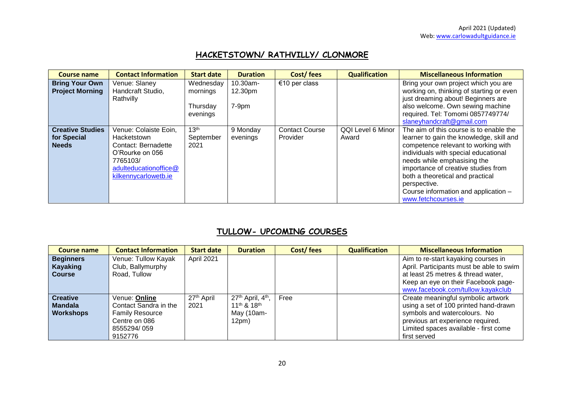## **HACKETSTOWN/ RATHVILLY/ CLONMORE**

| <b>Course name</b>                                     | <b>Contact Information</b>                                                                                                                         | <b>Start date</b>                             | <b>Duration</b>                | Cost/fees                         | <b>Qualification</b>       | <b>Miscellaneous Information</b>                                                                                                                                                                                                                                                                                                                            |
|--------------------------------------------------------|----------------------------------------------------------------------------------------------------------------------------------------------------|-----------------------------------------------|--------------------------------|-----------------------------------|----------------------------|-------------------------------------------------------------------------------------------------------------------------------------------------------------------------------------------------------------------------------------------------------------------------------------------------------------------------------------------------------------|
| <b>Bring Your Own</b><br><b>Project Morning</b>        | Venue: Slaney<br>Handcraft Studio,<br>Rathvilly                                                                                                    | Wednesday<br>mornings<br>Thursday<br>evenings | 10.30am-<br>12.30pm<br>$7-9pm$ | €10 per class                     |                            | Bring your own project which you are<br>working on, thinking of starting or even<br>just dreaming about! Beginners are<br>also welcome. Own sewing machine<br>required. Tel: Tomomi 0857749774/<br>slaneyhandcraft@gmail.com                                                                                                                                |
| <b>Creative Studies</b><br>for Special<br><b>Needs</b> | Venue: Colaiste Eoin,<br><b>Hacketstown</b><br>Contact: Bernadette<br>O'Rourke on 056<br>7765103/<br>adulteducationoffice@<br>kilkennycarlowetb.ie | 13 <sup>th</sup><br>September<br>2021         | 9 Monday<br>evenings           | <b>Contact Course</b><br>Provider | QQI Level 6 Minor<br>Award | The aim of this course is to enable the<br>learner to gain the knowledge, skill and<br>competence relevant to working with<br>individuals with special educational<br>needs while emphasising the<br>importance of creative studies from<br>both a theoretical and practical<br>perspective.<br>Course information and application -<br>www.fetchcourses.ie |

### **TULLOW- UPCOMING COURSES**

| <b>Course name</b>                                    | <b>Contact Information</b>                                                                                  | <b>Start date</b>              | <b>Duration</b>                                                  | Cost/fees | <b>Qualification</b> | <b>Miscellaneous Information</b>                                                                                                                                                                          |
|-------------------------------------------------------|-------------------------------------------------------------------------------------------------------------|--------------------------------|------------------------------------------------------------------|-----------|----------------------|-----------------------------------------------------------------------------------------------------------------------------------------------------------------------------------------------------------|
| <b>Beginners</b><br>Kayaking<br><b>Course</b>         | Venue: Tullow Kayak<br>Club, Ballymurphy<br>Road, Tullow                                                    | April 2021                     |                                                                  |           |                      | Aim to re-start kayaking courses in<br>April. Participants must be able to swim<br>at least 25 metres & thread water,<br>Keep an eye on their Facebook page-<br>www.facebook.com/tullow.kayakclub         |
| <b>Creative</b><br><b>Mandala</b><br><b>Workshops</b> | Venue: Online<br>Contact Sandra in the<br><b>Family Resource</b><br>Centre on 086<br>8555294/059<br>9152776 | 27 <sup>th</sup> April<br>2021 | 27th April, 4th,<br>$11^{th}$ & $18^{th}$<br>May (10am-<br>12pm) | Free      |                      | Create meaningful symbolic artwork<br>using a set of 100 printed hand-drawn<br>symbols and watercolours. No<br>previous art experience required.<br>Limited spaces available - first come<br>first served |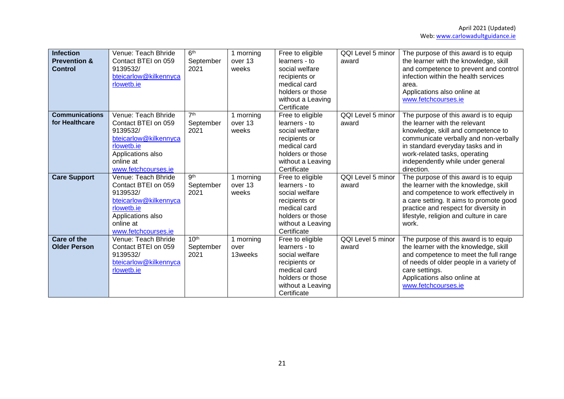| <b>Infection</b><br><b>Prevention &amp;</b><br><b>Control</b> | Venue: Teach Bhride<br>Contact BTEI on 059<br>9139532/<br>bteicarlow@kilkennyca<br>rlowetb.ie                                                          | 6 <sup>th</sup><br>September<br>2021  | 1 morning<br>over 13<br>weeks | Free to eligible<br>learners - to<br>social welfare<br>recipients or<br>medical card<br>holders or those<br>without a Leaving<br>Certificate | QQI Level 5 minor<br>award | The purpose of this award is to equip<br>the learner with the knowledge, skill<br>and competence to prevent and control<br>infection within the health services<br>area.<br>Applications also online at<br>www.fetchcourses.ie                                                 |
|---------------------------------------------------------------|--------------------------------------------------------------------------------------------------------------------------------------------------------|---------------------------------------|-------------------------------|----------------------------------------------------------------------------------------------------------------------------------------------|----------------------------|--------------------------------------------------------------------------------------------------------------------------------------------------------------------------------------------------------------------------------------------------------------------------------|
| <b>Communications</b><br>for Healthcare                       | Venue: Teach Bhride<br>Contact BTEI on 059<br>9139532/<br>bteicarlow@kilkennyca<br>rlowetb.ie<br>Applications also<br>online at<br>www.fetchcourses.ie | 7 <sup>th</sup><br>September<br>2021  | 1 morning<br>over 13<br>weeks | Free to eligible<br>learners - to<br>social welfare<br>recipients or<br>medical card<br>holders or those<br>without a Leaving<br>Certificate | QQI Level 5 minor<br>award | The purpose of this award is to equip<br>the learner with the relevant<br>knowledge, skill and competence to<br>communicate verbally and non-verbally<br>in standard everyday tasks and in<br>work-related tasks, operating<br>independently while under general<br>direction. |
| <b>Care Support</b>                                           | Venue: Teach Bhride<br>Contact BTEI on 059<br>9139532/<br>bteicarlow@kilkennyca<br>rlowetb.ie<br>Applications also<br>online at<br>www.fetchcourses.ie | gth<br>September<br>2021              | 1 morning<br>over 13<br>weeks | Free to eligible<br>learners - to<br>social welfare<br>recipients or<br>medical card<br>holders or those<br>without a Leaving<br>Certificate | QQI Level 5 minor<br>award | The purpose of this award is to equip<br>the learner with the knowledge, skill<br>and competence to work effectively in<br>a care setting. It aims to promote good<br>practice and respect for diversity in<br>lifestyle, religion and culture in care<br>work.                |
| Care of the<br><b>Older Person</b>                            | Venue: Teach Bhride<br>Contact BTEI on 059<br>9139532/<br>bteicarlow@kilkennyca<br>rlowetb.ie                                                          | 10 <sup>th</sup><br>September<br>2021 | 1 morning<br>over<br>13weeks  | Free to eligible<br>learners - to<br>social welfare<br>recipients or<br>medical card<br>holders or those<br>without a Leaving<br>Certificate | QQI Level 5 minor<br>award | The purpose of this award is to equip<br>the learner with the knowledge, skill<br>and competence to meet the full range<br>of needs of older people in a variety of<br>care settings.<br>Applications also online at<br>www.fetchcourses.ie                                    |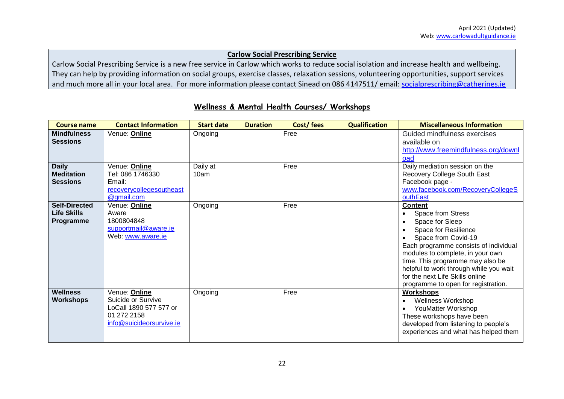#### **Carlow Social Prescribing Service**

Carlow Social Prescribing Service is a new free service in Carlow which works to reduce social isolation and increase health and wellbeing. They can help by providing information on social groups, exercise classes, relaxation sessions, volunteering opportunities, support services and much more all in your local area. For more information please contact Sinead on 086 4147511/ email: [socialprescribing@catherines.ie](mailto:socialprescribing@catherines.ie)

| <b>Course name</b>                                      | <b>Contact Information</b>                                                                               | <b>Start date</b> | <b>Duration</b> | Cost/fees | <b>Qualification</b> | <b>Miscellaneous Information</b>                                                                                                                                                                                                                                                                                                           |
|---------------------------------------------------------|----------------------------------------------------------------------------------------------------------|-------------------|-----------------|-----------|----------------------|--------------------------------------------------------------------------------------------------------------------------------------------------------------------------------------------------------------------------------------------------------------------------------------------------------------------------------------------|
| <b>Mindfulness</b><br><b>Sessions</b>                   | Venue: Online                                                                                            | Ongoing           |                 | Free      |                      | Guided mindfulness exercises<br>available on<br>http://www.freemindfulness.org/downl<br>oad                                                                                                                                                                                                                                                |
| <b>Daily</b><br><b>Meditation</b><br><b>Sessions</b>    | Venue: Online<br>Tel: 086 1746330<br>Email:<br>recoverycollegesoutheast<br>@gmail.com                    | Daily at<br>10am  |                 | Free      |                      | Daily mediation session on the<br>Recovery College South East<br>Facebook page -<br>www.facebook.com/RecoveryCollegeS<br>outhEast                                                                                                                                                                                                          |
| <b>Self-Directed</b><br><b>Life Skills</b><br>Programme | Venue: <b>Online</b><br>Aware<br>1800804848<br>supportmail@aware.ie<br>Web: www.aware.ie                 | Ongoing           |                 | Free      |                      | <b>Content</b><br>Space from Stress<br>Space for Sleep<br>Space for Resilience<br>Space from Covid-19<br>Each programme consists of individual<br>modules to complete, in your own<br>time. This programme may also be<br>helpful to work through while you wait<br>for the next Life Skills online<br>programme to open for registration. |
| <b>Wellness</b><br><b>Workshops</b>                     | Venue: Online<br>Suicide or Survive<br>LoCall 1890 577 577 or<br>01 272 2158<br>info@suicideorsurvive.ie | Ongoing           |                 | Free      |                      | <b>Workshops</b><br><b>Wellness Workshop</b><br>YouMatter Workshop<br>These workshops have been<br>developed from listening to people's<br>experiences and what has helped them                                                                                                                                                            |

### **Wellness & Mental Health Courses/ Workshops**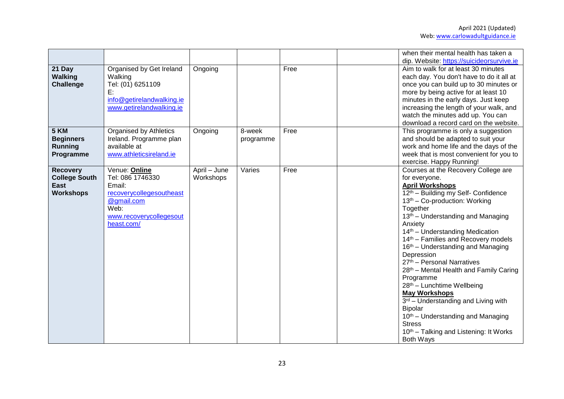|                                                                            |                                                                                                                                        |                           |                     |      | when their mental health has taken a<br>dip. Website: https://suicideorsurvive.ie                                                                                                                                                                                                                                                                                                                                                                                                                                                                                                                                                                                                                                       |
|----------------------------------------------------------------------------|----------------------------------------------------------------------------------------------------------------------------------------|---------------------------|---------------------|------|-------------------------------------------------------------------------------------------------------------------------------------------------------------------------------------------------------------------------------------------------------------------------------------------------------------------------------------------------------------------------------------------------------------------------------------------------------------------------------------------------------------------------------------------------------------------------------------------------------------------------------------------------------------------------------------------------------------------------|
| 21 Day<br><b>Walking</b><br>Challenge                                      | Organised by Get Ireland<br>Walking<br>Tel: (01) 6251109<br>E:<br>info@getirelandwalking.ie<br>www.getirelandwalking.ie                | Ongoing                   |                     | Free | Aim to walk for at least 30 minutes<br>each day. You don't have to do it all at<br>once you can build up to 30 minutes or<br>more by being active for at least 10<br>minutes in the early days. Just keep<br>increasing the length of your walk, and<br>watch the minutes add up. You can<br>download a record card on the website.                                                                                                                                                                                                                                                                                                                                                                                     |
| 5 KM<br><b>Beginners</b><br><b>Running</b><br>Programme                    | Organised by Athletics<br>Ireland. Programme plan<br>available at<br>www.athleticsireland.ie                                           | Ongoing                   | 8-week<br>programme | Free | This programme is only a suggestion<br>and should be adapted to suit your<br>work and home life and the days of the<br>week that is most convenient for you to<br>exercise. Happy Running!                                                                                                                                                                                                                                                                                                                                                                                                                                                                                                                              |
| <b>Recovery</b><br><b>College South</b><br><b>East</b><br><b>Workshops</b> | Venue: Online<br>Tel: 086 1746330<br>Email:<br>recoverycollegesoutheast<br>@gmail.com<br>Web:<br>www.recoverycollegesout<br>heast.com/ | April - June<br>Workshops | Varies              | Free | Courses at the Recovery College are<br>for everyone.<br><b>April Workshops</b><br>12th - Building my Self- Confidence<br>13th - Co-production: Working<br>Together<br>13 <sup>th</sup> – Understanding and Managing<br>Anxiety<br>14th - Understanding Medication<br>14th - Families and Recovery models<br>16 <sup>th</sup> – Understanding and Managing<br>Depression<br>27th - Personal Narratives<br>28th - Mental Health and Family Caring<br>Programme<br>28th - Lunchtime Wellbeing<br><b>May Workshops</b><br>3rd - Understanding and Living with<br><b>Bipolar</b><br>10 <sup>th</sup> – Understanding and Managing<br><b>Stress</b><br>10 <sup>th</sup> – Talking and Listening: It Works<br><b>Both Ways</b> |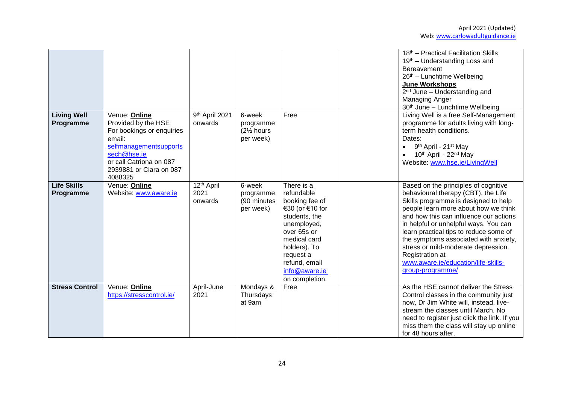|                                 |                                                                                                                                                                                       |                                           |                                                            |                                                                                                                                                                                                               | 18th - Practical Facilitation Skills<br>19th - Understanding Loss and<br>Bereavement<br>26th - Lunchtime Wellbeing<br>June Workshops<br>$2nd$ June – Understanding and<br><b>Managing Anger</b><br>30th June - Lunchtime Wellbeing                                                                                                                                                                                                                     |
|---------------------------------|---------------------------------------------------------------------------------------------------------------------------------------------------------------------------------------|-------------------------------------------|------------------------------------------------------------|---------------------------------------------------------------------------------------------------------------------------------------------------------------------------------------------------------------|--------------------------------------------------------------------------------------------------------------------------------------------------------------------------------------------------------------------------------------------------------------------------------------------------------------------------------------------------------------------------------------------------------------------------------------------------------|
| <b>Living Well</b><br>Programme | Venue: Online<br>Provided by the HSE<br>For bookings or enquiries<br>email:<br>selfmanagementsupports<br>sech@hse.ie<br>or call Catriona on 087<br>2939881 or Ciara on 087<br>4088325 | 9th April 2021<br>onwards                 | 6-week<br>programme<br>$(2\frac{1}{2})$ hours<br>per week) | Free                                                                                                                                                                                                          | Living Well is a free Self-Management<br>programme for adults living with long-<br>term health conditions.<br>Dates:<br>9 <sup>th</sup> April - 21 <sup>st</sup> May<br>$\bullet$<br>10th April - 22nd May<br>Website: www.hse.ie/LivingWell                                                                                                                                                                                                           |
| <b>Life Skills</b><br>Programme | Venue: Online<br>Website: www.aware.ie                                                                                                                                                | 12 <sup>th</sup> April<br>2021<br>onwards | 6-week<br>programme<br>(90 minutes<br>per week)            | There is a<br>refundable<br>booking fee of<br>€30 (or €10 for<br>students, the<br>unemployed,<br>over 65s or<br>medical card<br>holders). To<br>request a<br>refund, email<br>info@aware.ie<br>on completion. | Based on the principles of cognitive<br>behavioural therapy (CBT), the Life<br>Skills programme is designed to help<br>people learn more about how we think<br>and how this can influence our actions<br>in helpful or unhelpful ways. You can<br>learn practical tips to reduce some of<br>the symptoms associated with anxiety,<br>stress or mild-moderate depression.<br>Registration at<br>www.aware.ie/education/life-skills-<br>group-programme/ |
| <b>Stress Control</b>           | Venue: Online<br>https://stresscontrol.ie/                                                                                                                                            | April-June<br>2021                        | Mondays &<br>Thursdays<br>at 9am                           | Free                                                                                                                                                                                                          | As the HSE cannot deliver the Stress<br>Control classes in the community just<br>now, Dr Jim White will, instead, live-<br>stream the classes until March. No<br>need to register just click the link. If you<br>miss them the class will stay up online<br>for 48 hours after.                                                                                                                                                                        |